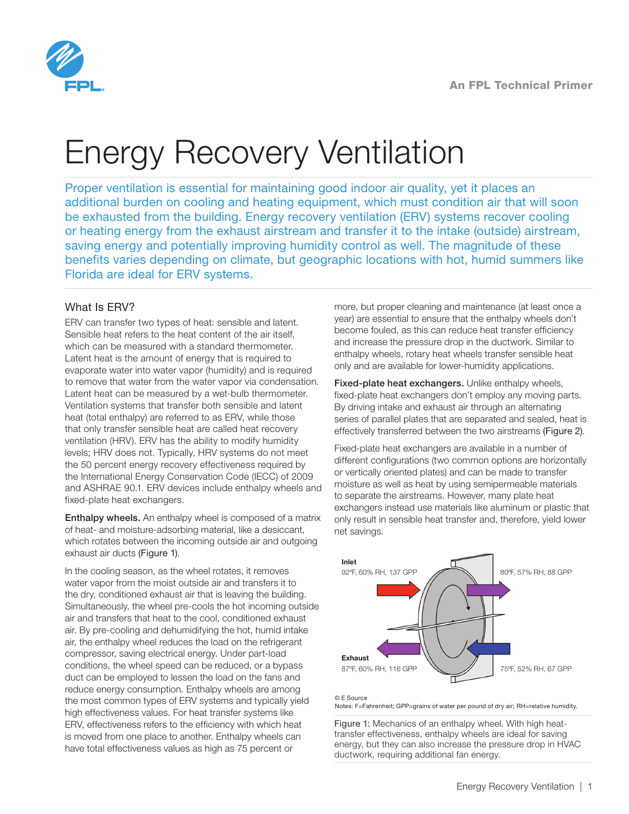

# Energy Recovery Ventilation

Proper ventilation is essential for maintaining good indoor air quality, yet it places an additional burden on cooling and heating equipment, which must condition air that will soon be exhausted from the building. Energy recovery ventilation (ERV) systems recover cooling or heating energy from the exhaust airstream and transfer it to the intake (outside) airstream, saving energy and potentially improving humidity control as well. The magnitude of these benefits varies depending on climate, but geographic locations with hot, humid summers like Florida are ideal for ERV systems.

# What Is ERV?

ERV can transfer two types of heat: sensible and latent. Sensible heat refers to the heat content of the air itself, which can be measured with a standard thermometer. Latent heat is the amount of energy that is required to evaporate water into water vapor (humidity) and is required to remove that water from the water vapor via condensation. Latent heat can be measured by a wet-bulb thermometer. Ventilation systems that transfer both sensible and latent heat (total enthalpy) are referred to as ERV, while those that only transfer sensible heat are called heat recovery ventilation (HRV). ERV has the ability to modify humidity levels; HRV does not. Typically, HRV systems do not meet the 50 percent energy recovery effectiveness required by the International Energy Conservation Code (IECC) of 2009 and ASHRAE 90.1. ERV devices include enthalpy wheels and fixed-plate heat exchangers.

**Enthalpy wheels.** An enthalpy wheel is composed of a matrix of heat- and moisture-adsorbing material, like a desiccant, which rotates between the incoming outside air and outgoing exhaust air ducts (Figure 1).

In the cooling season, as the wheel rotates, it removes water vapor from the moist outside air and transfers it to the dry, conditioned exhaust air that is leaving the building. Simultaneously, the wheel pre-cools the hot incoming outside air and transfers that heat to the cool, conditioned exhaust air. By pre-cooling and dehumidifying the hot, humid intake air, the enthalpy wheel reduces the load on the refrigerant compressor, saving electrical energy. Under part-load conditions, the wheel speed can be reduced, or a bypass duct can be employed to lessen the load on the fans and reduce energy consumption. Enthalpy wheels are among the most common types of ERV systems and typically yield high effectiveness values. For heat transfer systems like ERV, effectiveness refers to the efficiency with which heat is moved from one place to another. Enthalpy wheels can have total effectiveness values as high as 75 percent or

more, but proper cleaning and maintenance (at least once a year) are essential to ensure that the enthalpy wheels don't become fouled, as this can reduce heat transfer efficiency and increase the pressure drop in the ductwork. Similar to enthalpy wheels, rotary heat wheels transfer sensible heat only and are available for lower-humidity applications.

Fixed-plate heat exchangers. Unlike enthalpy wheels, fixed-plate heat exchangers don't employ any moving parts. By driving intake and exhaust air through an alternating series of parallel plates that are separated and sealed, heat is effectively transferred between the two airstreams (Figure 2).

Fixed-plate heat exchangers are available in a number of different configurations (two common options are horizontally or vertically oriented plates) and can be made to transfer moisture as well as heat by using semipermeable materials to separate the airstreams. However, many plate heat exchangers instead use materials like aluminum or plastic that only result in sensible heat transfer and, therefore, yield lower net savings.



#### © E Source

o L oource<br>Notes: F=Fahrenheit; GPP=grains of water per pound of dry air; RH=relative humidity.

Figure 1: Mechanics of an enthalpy wheel. With high heattransfer effectiveness, enthalpy wheels are ideal for saving energy, but they can also increase the pressure drop in HVAC ductwork, requiring additional fan energy.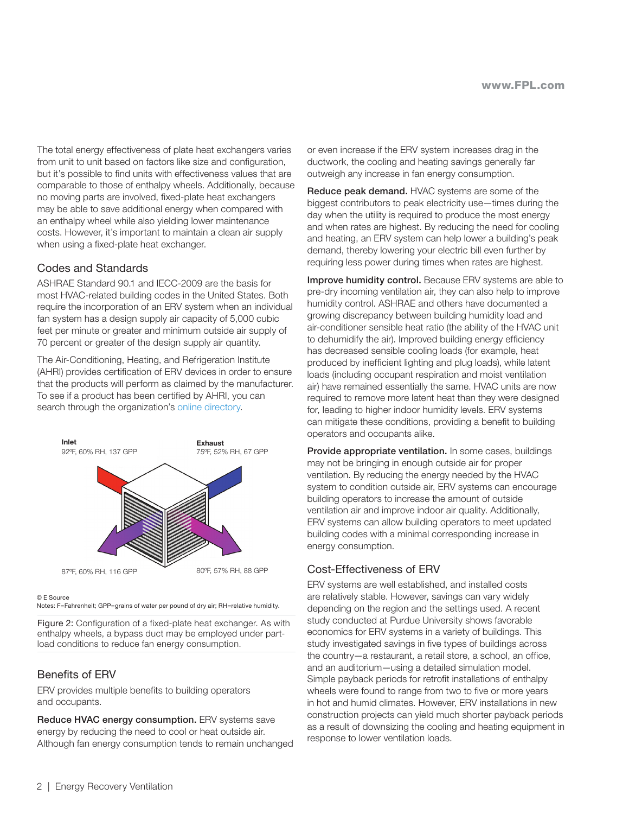The total energy effectiveness of plate heat exchangers varies from unit to unit based on factors like size and configuration, but it's possible to find units with effectiveness values that are comparable to those of enthalpy wheels. Additionally, because no moving parts are involved, fixed-plate heat exchangers may be able to save additional energy when compared with an enthalpy wheel while also yielding lower maintenance costs. However, it's important to maintain a clean air supply when using a fixed-plate heat exchanger.

## Codes and Standards

ASHRAE Standard 90.1 and IECC-2009 are the basis for most HVAC-related building codes in the United States. Both require the incorporation of an ERV system when an individual fan system has a design supply air capacity of 5,000 cubic feet per minute or greater and minimum outside air supply of 70 percent or greater of the design supply air quantity.

The Air-Conditioning, Heating, and Refrigeration Institute (AHRI) provides certification of ERV devices in order to ensure that the products will perform as claimed by the manufacturer. To see if a product has been certified by AHRI, you can search through the organization's [online directory.](http://www.ahridirectory.org/ahridirectory/pages/home.aspx)



#### © E Source

Notes: F=Fahrenheit; GPP=grains of water per pound of dry air; RH=relative humidity.

Figure 2: Configuration of a fixed-plate heat exchanger. As with enthalpy wheels, a bypass duct may be employed under partload conditions to reduce fan energy consumption.

## Benefits of ERV

ERV provides multiple benefits to building operators and occupants.

Reduce HVAC energy consumption. ERV systems save energy by reducing the need to cool or heat outside air. Although fan energy consumption tends to remain unchanged or even increase if the ERV system increases drag in the ductwork, the cooling and heating savings generally far outweigh any increase in fan energy consumption.

Reduce peak demand. HVAC systems are some of the biggest contributors to peak electricity use—times during the day when the utility is required to produce the most energy and when rates are highest. By reducing the need for cooling and heating, an ERV system can help lower a building's peak demand, thereby lowering your electric bill even further by requiring less power during times when rates are highest.

Improve humidity control. Because ERV systems are able to pre-dry incoming ventilation air, they can also help to improve humidity control. ASHRAE and others have documented a growing discrepancy between building humidity load and air-conditioner sensible heat ratio (the ability of the HVAC unit to dehumidify the air). Improved building energy efficiency has decreased sensible cooling loads (for example, heat produced by inefficient lighting and plug loads), while latent loads (including occupant respiration and moist ventilation air) have remained essentially the same. HVAC units are now required to remove more latent heat than they were designed for, leading to higher indoor humidity levels. ERV systems can mitigate these conditions, providing a benefit to building operators and occupants alike.

Provide appropriate ventilation. In some cases, buildings may not be bringing in enough outside air for proper ventilation. By reducing the energy needed by the HVAC system to condition outside air, ERV systems can encourage building operators to increase the amount of outside ventilation air and improve indoor air quality. Additionally, ERV systems can allow building operators to meet updated building codes with a minimal corresponding increase in energy consumption.

## Cost-Effectiveness of ERV

ERV systems are well established, and installed costs are relatively stable. However, savings can vary widely depending on the region and the settings used. A recent study conducted at Purdue University shows favorable economics for ERV systems in a variety of buildings. This study investigated savings in five types of buildings across the country—a restaurant, a retail store, a school, an office, and an auditorium—using a detailed simulation model. Simple payback periods for retrofit installations of enthalpy wheels were found to range from two to five or more years in hot and humid climates. However, ERV installations in new construction projects can yield much shorter payback periods as a result of downsizing the cooling and heating equipment in response to lower ventilation loads.